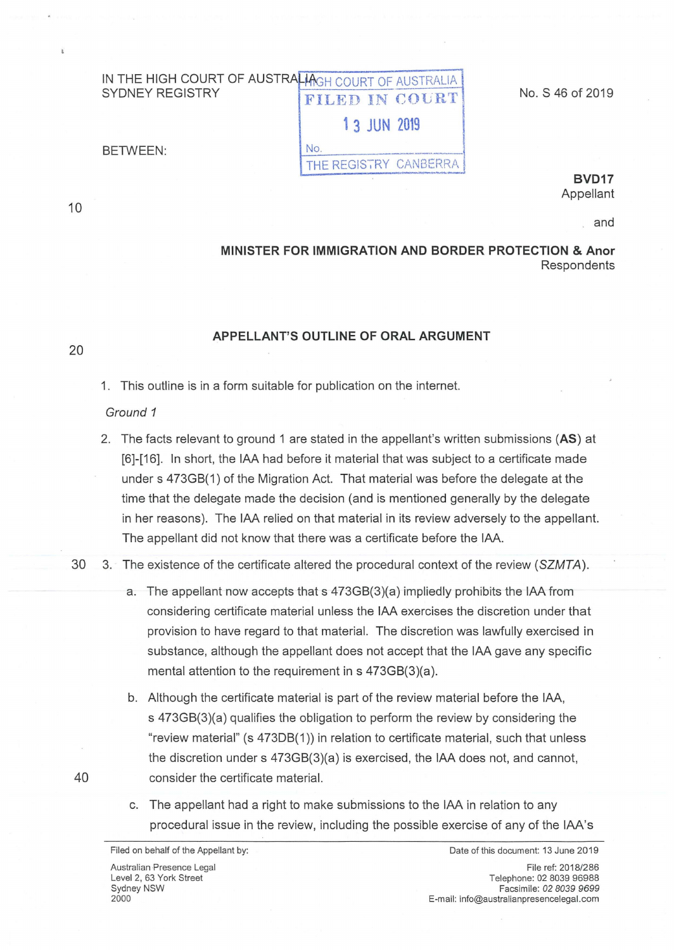# IN THE HIGH COURT OF AUSTRALIA COURT OF AUSTRALIA FILED IN COURT **1 3 JUN 2019**  BETWEEN: No. \_\_ \_ THE REGISTRY CANBERRA - .. *.... -1 ... -*

No. S 46 of 2019

10

20

40

**BVD17**  Appellant

and

## **MINISTER FOR IMMIGRATION AND BORDER PROTECTION & Anor Respondents**

### **APPELLANT'S OUTLINE OF ORAL ARGUMENT**

1. This outline is in a form suitable for publication on the internet.

#### Ground 1

- 2. The facts relevant to ground 1 are stated in the appellant's written submissions **(AS)** at [6]-[16]. In short, the IAA had before it material that was subject to a certificate made under s 473GB(1) of the Migration Act. That material was before the delegate at the time that the delegate made the decision (and is mentioned generally by the delegate in her reasons). The IAA relied on that material in its review adversely to the appellant. The appellant did not know that there was a certificate before the IAA.
- 30 3. The existence of the certificate altered the procedural context of the review (SZMTA).
	- a. The appellant now accepts that s 473GB(3)(a) impliedly prohibits the IAA from considering certificate material unless the IAA exercises the discretion under that provision to have regard to that material. The discretion was lawfully exercised in substance, although the appellant does not accept that the IAA gave any specific mental attention to the requirement in  $s$  473GB(3)(a).
	- b. Although the certificate material is part of the review material before the IAA, s 473GB(3)(a) qualifies the obligation to perform the review by considering the "review material" (s 47308(1)) in relation to certificate material, such that unless the discretion under s 473GB(3)(a) is exercised, the IAA does not, and cannot, consider the certificate material.
	- c. The appellant had a right to make submissions to the IAA in relation to any procedural issue in the review, including the possible exercise of any of the IAA's

Date of this document: 13 June 2019

File ref: 2018/286 Telephone: 02 8039 96988 Facsimile: 02 *8039 9699*  E-mail: info@australianpresencelegal.com

Filed on behalf of the Appellant by: Australian Presence Legal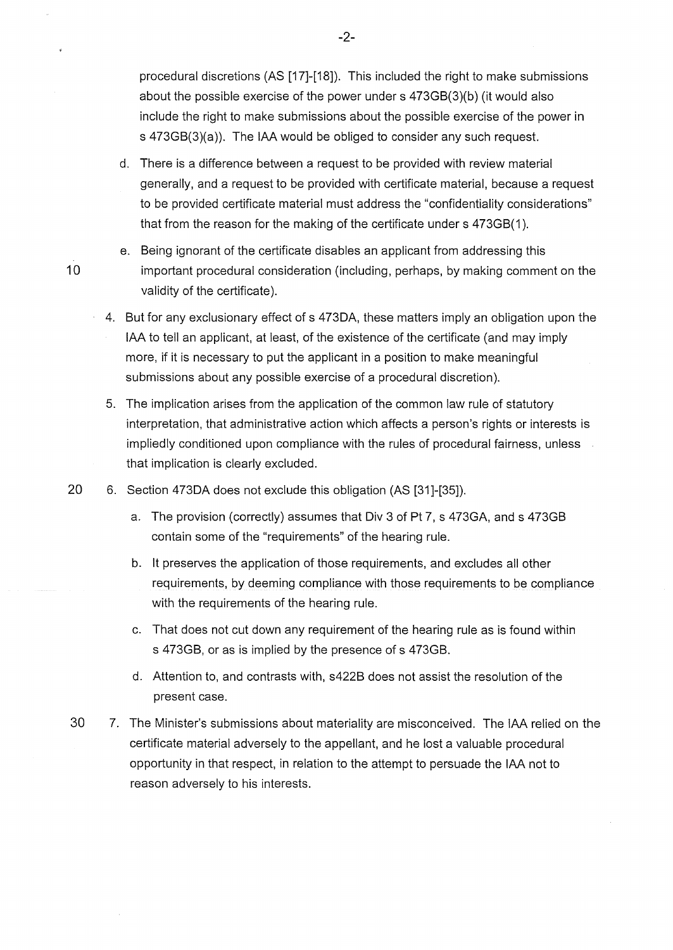procedural discretions (AS [17]-[18]). This included the right to make submissions about the possible exercise of the power under s 473GB(3)(b) (it would also include the right to make submissions about the possible exercise of the power in s 473GB(3)(a)). The IAA would be obliged to consider any such request.

- d. There is a difference between a request to be provided with review material generally, and a request to be provided with certificate material, because a request to be provided certificate material must address the "confidentiality considerations" that from the reason for the making of the certificate under s 473GB(1 ).
- e. Being ignorant of the certificate disables an applicant from addressing this important procedural consideration (including, perhaps, by making comment on the validity of the certificate).
- 4. But for any exclusionary effect of s 4730A, these matters imply an obligation upon the IAA to tell an applicant, at least, of the existence of the certificate (and may imply more, if it is necessary to put the applicant in a position to make meaningful submissions about any possible exercise of a procedural discretion).
- 5. The implication arises from the application of the common law rule of statutory interpretation, that administrative action which affects a person's rights or interests is impliedly conditioned upon compliance with the rules of procedural fairness, unless that implication is clearly excluded.
- 20 6. Section 4730A does not exclude this obligation (AS [31]-[35]).
	- a. The provision (correctly) assumes that Div 3 of Pt 7, s 473GA, and s 473GB contain some of the "requirements" of the hearing rule.
	- b. It preserves the application of those requirements, and excludes all other requirements, by deeming compliance with those requirements to be compliance with the requirements of the hearing rule.
	- c. That does not cut down any requirement of the hearing rule as is found within s 473GB, or as is implied by the presence of s 473GB.
	- d. Attention to, and contrasts with, s422B does not assist the resolution of the present case.
- 30 7. The Minister's submissions about materiality are misconceived. The IAA relied on the certificate material adversely to the appellant, and he lost a valuable procedural opportunity in that respect, in relation to the attempt to persuade the IAA not to reason adversely to his interests.

-2-

10